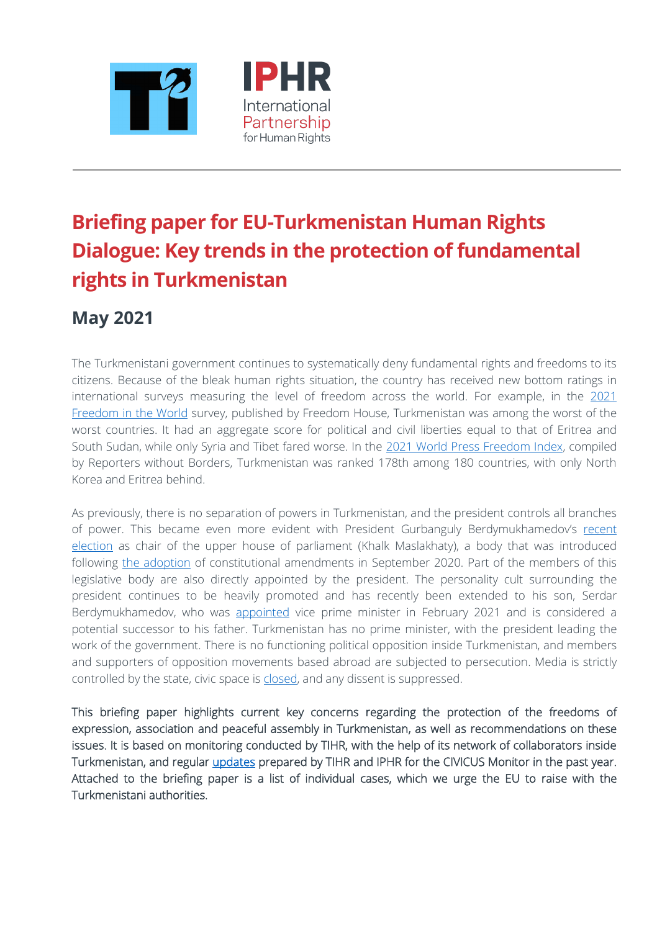



# **Briefing paper for EU-Turkmenistan Human Rights Dialogue: Key trends in the protection of fundamental rights in Turkmenistan**

# **May 2021**

The Turkmenistani government continues to systematically deny fundamental rights and freedoms to its citizens. Because of the bleak human rights situation, the country has received new bottom ratings in international surveys measuring the level of freedom across the world. For example, in the [2021](https://freedomhouse.org/countries/freedom-world/scores)  [Freedom in the World](https://freedomhouse.org/countries/freedom-world/scores) survey, published by Freedom House, Turkmenistan was among the worst of the worst countries. It had an aggregate score for political and civil liberties equal to that of Eritrea and South Sudan, while only Syria and Tibet fared worse. In the [2021 World Press](https://rsf.org/en/ranking) Freedom Index, compiled by Reporters without Borders, Turkmenistan was ranked 178th among 180 countries, with only North Korea and Eritrea behind.

As previously, there is no separation of powers in Turkmenistan, and the president controls all branches of power. This became even more evident with President Gurbanguly Berdymukhamedov's [recent](https://www.hronikatm.com/2021/04/because-he-can-2/)  [election](https://www.hronikatm.com/2021/04/because-he-can-2/) as chair of the upper house of parliament (Khalk Maslakhaty), a body that was introduced following [the adoption](https://www.hronikatm.com/2020/09/constitution-v-9/) of constitutional amendments in September 2020. Part of the members of this legislative body are also directly appointed by the president. The personality cult surrounding the president continues to be heavily promoted and has recently been extended to his son, Serdar Berdymukhamedov, who was [appointed](https://www.hronikatm.com/2021/03/serdar-duties/) vice prime minister in February 2021 and is considered a potential successor to his father. Turkmenistan has no prime minister, with the president leading the work of the government. There is no functioning political opposition inside Turkmenistan, and members and supporters of opposition movements based abroad are subjected to persecution. Media is strictly controlled by the state, civic space is [closed,](https://monitor.civicus.org/country/turkmenistan/) and any dissent is suppressed.

This briefing paper highlights current key concerns regarding the protection of the freedoms of expression, association and peaceful assembly in Turkmenistan, as well as recommendations on these issues. It is based on monitoring conducted by TIHR, with the help of its network of collaborators inside Turkmenistan, and regular [updates](https://monitor.civicus.org/country/turkmenistan/) prepared by TIHR and IPHR for the CIVICUS Monitor in the past year. Attached to the briefing paper is a list of individual cases, which we urge the EU to raise with the Turkmenistani authorities.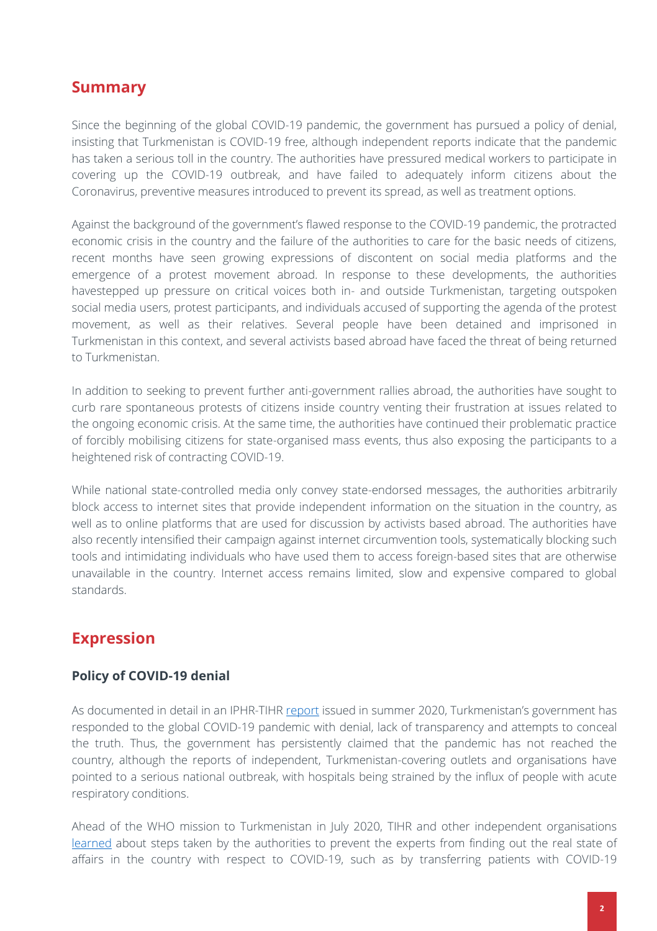### **Summary**

Since the beginning of the global COVID-19 pandemic, the government has pursued a policy of denial, insisting that Turkmenistan is COVID-19 free, although independent reports indicate that the pandemic has taken a serious toll in the country. The authorities have pressured medical workers to participate in covering up the COVID-19 outbreak, and have failed to adequately inform citizens about the Coronavirus, preventive measures introduced to prevent its spread, as well as treatment options.

Against the background of the government's flawed response to the COVID-19 pandemic, the protracted economic crisis in the country and the failure of the authorities to care for the basic needs of citizens, recent months have seen growing expressions of discontent on social media platforms and the emergence of a protest movement abroad. In response to these developments, the authorities havestepped up pressure on critical voices both in- and outside Turkmenistan, targeting outspoken social media users, protest participants, and individuals accused of supporting the agenda of the protest movement, as well as their relatives. Several people have been detained and imprisoned in Turkmenistan in this context, and several activists based abroad have faced the threat of being returned to Turkmenistan.

In addition to seeking to prevent further anti-government rallies abroad, the authorities have sought to curb rare spontaneous protests of citizens inside country venting their frustration at issues related to the ongoing economic crisis. At the same time, the authorities have continued their problematic practice of forcibly mobilising citizens for state-organised mass events, thus also exposing the participants to a heightened risk of contracting COVID-19.

While national state-controlled media only convey state-endorsed messages, the authorities arbitrarily block access to internet sites that provide independent information on the situation in the country, as well as to online platforms that are used for discussion by activists based abroad. The authorities have also recently intensified their campaign against internet circumvention tools, systematically blocking such tools and intimidating individuals who have used them to access foreign-based sites that are otherwise unavailable in the country. Internet access remains limited, slow and expensive compared to global standards.

## **Expression**

### **Policy of COVID-19 denial**

As documented in detail in an IPHR-TIHR [report](https://www.iphronline.org/it-came-with-the-wind-turkmenistan-s-covid-19-response.html) issued in summer 2020, Turkmenistan's government has responded to the global COVID-19 pandemic with denial, lack of transparency and attempts to conceal the truth. Thus, the government has persistently claimed that the pandemic has not reached the country, although the reports of independent, Turkmenistan-covering outlets and organisations have pointed to a serious national outbreak, with hospitals being strained by the influx of people with acute respiratory conditions.

Ahead of the WHO mission to Turkmenistan in July 2020, TIHR and other independent organisations [learned](https://www.iphronline.org/it-came-with-the-wind-turkmenistan-s-covid-19-response.html) about steps taken by the authorities to prevent the experts from finding out the real state of affairs in the country with respect to COVID-19, such as by transferring patients with COVID-19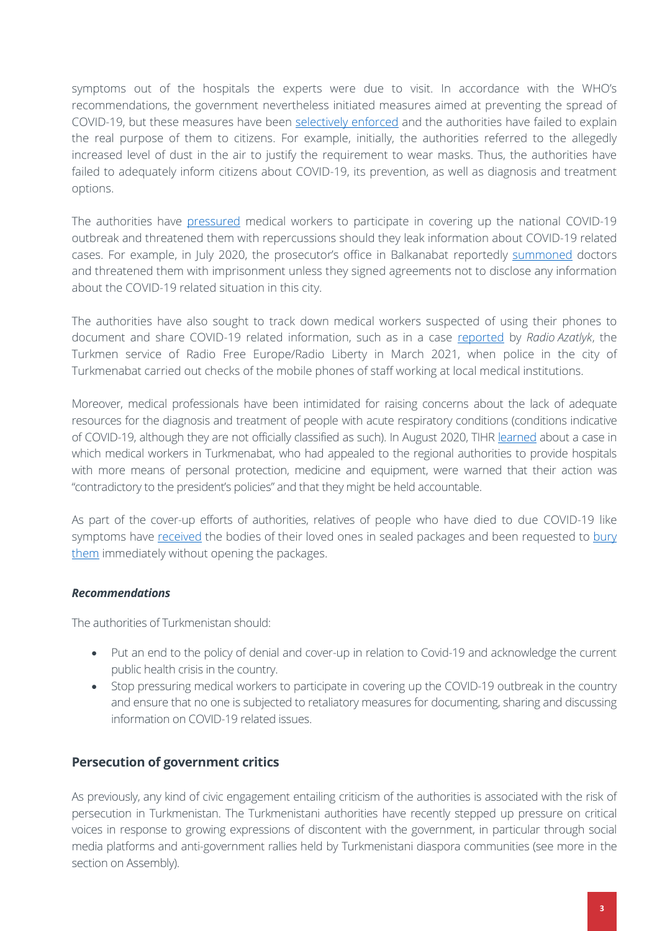symptoms out of the hospitals the experts were due to visit. In accordance with the WHO's recommendations, the government nevertheless initiated measures aimed at preventing the spread of COVID-19, but these measures have been [selectively enforced](https://www.hronikatm.com/2020/09/restrictions-for-unprivileged/) and the authorities have failed to explain the real purpose of them to citizens. For example, initially, the authorities referred to the allegedly increased level of dust in the air to justify the requirement to wear masks. Thus, the authorities have failed to adequately inform citizens about COVID-19, its prevention, as well as diagnosis and treatment options.

The authorities have [pressured](https://www.iphronline.org/it-came-with-the-wind-turkmenistan-s-covid-19-response.html) medical workers to participate in covering up the national COVID-19 outbreak and threatened them with repercussions should they leak information about COVID-19 related cases. For example, in July 2020, the prosecutor's office in Balkanabat reportedly [summoned](https://acca.media/v-turkmenistane-lyudi-massovo-gibnut-ot-covid-19/) doctors and threatened them with imprisonment unless they signed agreements not to disclose any information about the COVID-19 related situation in this city.

The authorities have also sought to track down medical workers suspected of using their phones to document and share COVID-19 related information, such as in a case [reported](https://www.azathabar.com/a/31135145.html) by *Radio Azatlyk*, the Turkmen service of Radio Free Europe/Radio Liberty in March 2021, when police in the city of Turkmenabat carried out checks of the mobile phones of staff working at local medical institutions.

Moreover, medical professionals have been intimidated for raising concerns about the lack of adequate resources for the diagnosis and treatment of people with acute respiratory conditions (conditions indicative of COVID-19, although they are not officially classified as such). In August 2020, TIHR [learned](https://www.hronikatm.com/2020/08/medics-demands/) about a case in which medical workers in Turkmenabat, who had appealed to the regional authorities to provide hospitals with more means of personal protection, medicine and equipment, were warned that their action was "contradictory to the president's policies" and that they might be held accountable.

As part of the cover-up efforts of authorities, relatives of people who have died to due COVID-19 like symptoms have [received](https://en.hronikatm.com/2020/08/the-bodies-of-those-who-have-died-of-pneumonia-are-handed-over-in-plastic-bags-and-relatives-are-requested-to-bury-them-without-unpacking/) the bodies of their loved ones in sealed packages and been requested to bury [them](https://en.hronikatm.com/2020/07/at-least-8-to-12-people-die-of-pneumonia-in-ashgabat-on-a-daily-basis/) immediately without opening the packages.

### *Recommendations*

The authorities of Turkmenistan should:

- Put an end to the policy of denial and cover-up in relation to Covid-19 and acknowledge the current public health crisis in the country.
- Stop pressuring medical workers to participate in covering up the COVID-19 outbreak in the country and ensure that no one is subjected to retaliatory measures for documenting, sharing and discussing information on COVID-19 related issues.

### **Persecution of government critics**

As previously, any kind of civic engagement entailing criticism of the authorities is associated with the risk of persecution in Turkmenistan. The Turkmenistani authorities have recently stepped up pressure on critical voices in response to growing expressions of discontent with the government, in particular through social media platforms and anti-government rallies held by Turkmenistani diaspora communities (see more in the section on Assembly).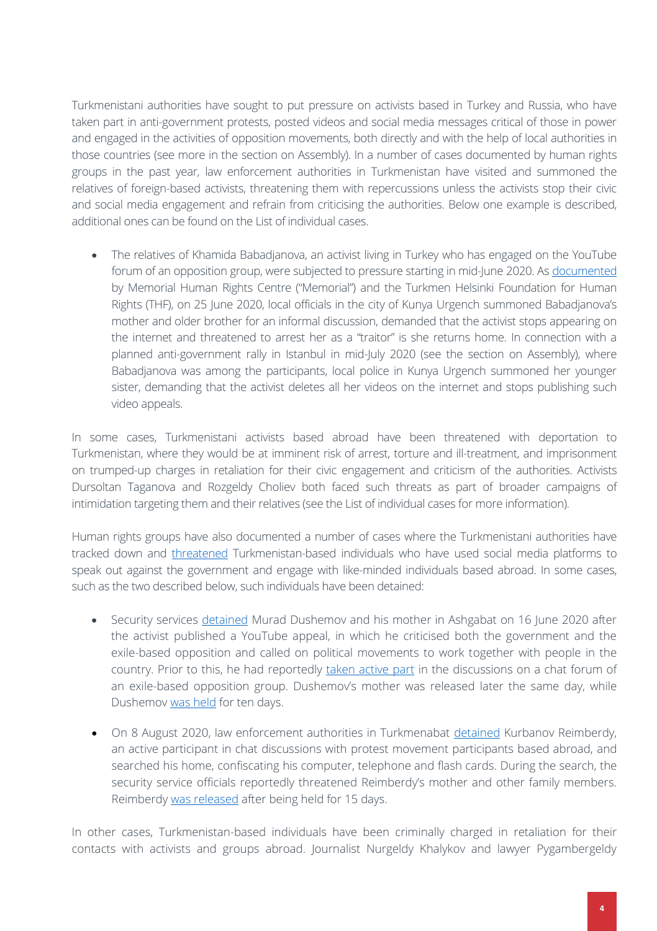Turkmenistani authorities have sought to put pressure on activists based in Turkey and Russia, who have taken part in anti-government protests, posted videos and social media messages critical of those in power and engaged in the activities of opposition movements, both directly and with the help of local authorities in those countries (see more in the section on Assembly). In a number of cases documented by human rights groups in the past year, law enforcement authorities in Turkmenistan have visited and summoned the relatives of foreign-based activists, threatening them with repercussions unless the activists stop their civic and social media engagement and refrain from criticising the authorities. Below one example is described, additional ones can be found on the List of individual cases.

• The relatives of Khamida Babadjanova, an activist living in Turkey who has engaged on the YouTube forum of an opposition group, were subjected to pressure starting in mid-June 2020. As [documented](https://www.hronikatm.com/2020/08/repressions-2/) by Memorial Human Rights Centre ("Memorial") and the Turkmen Helsinki Foundation for Human Rights (THF), on 25 June 2020, local officials in the city of Kunya Urgench summoned Babadjanova's mother and older brother for an informal discussion, demanded that the activist stops appearing on the internet and threatened to arrest her as a "traitor" is she returns home. In connection with a planned anti-government rally in Istanbul in mid-July 2020 (see the section on Assembly), where Babadjanova was among the participants, local police in Kunya Urgench summoned her younger sister, demanding that the activist deletes all her videos on the internet and stops publishing such video appeals.

In some cases, Turkmenistani activists based abroad have been threatened with deportation to Turkmenistan, where they would be at imminent risk of arrest, torture and ill-treatment, and imprisonment on trumped-up charges in retaliation for their civic engagement and criticism of the authorities. Activists Dursoltan Taganova and Rozgeldy Choliev both faced such threats as part of broader campaigns of intimidation targeting them and their relatives (see the List of individual cases for more information).

Human rights groups have also documented a number of cases where the Turkmenistani authorities have tracked down and [threatened](https://en.hronikatm.com/2020/07/stop-persecution-of-turkmen-civic-activists/) Turkmenistan-based individuals who have used social media platforms to speak out against the government and engage with like-minded individuals based abroad. In some cases, such as the two described below, such individuals have been detained:

- Security services [detained](https://rus.azathabar.com/a/30691906.html) Murad Dushemov and his mother in Ashgabat on 16 June 2020 after the activist published a YouTube appeal, in which he criticised both the government and the exile-based opposition and called on political movements to work together with people in the country. Prior to this, he had reportedly [taken active part](https://fergana.agency/articles/119562/) in the discussions on a chat forum of an exile-based opposition group. Dushemov's mother was released later the same day, while Dushemov [was held](https://rus.azathabar.com/a/30693665.html) for ten days.
- On 8 August 2020, law enforcement authorities in Turkmenabat [detained](https://www.hronikatm.com/2020/08/grazhdanskij-aktivist-v-turkmenistane-osvobozhden-posle-15-sutok-administrativnogo-aresta/) Kurbanov Reimberdy, an active participant in chat discussions with protest movement participants based abroad, and searched his home, confiscating his computer, telephone and flash cards. During the search, the security service officials reportedly threatened Reimberdy's mother and other family members. Reimberdy [was released](https://www.hronikatm.com/2020/08/grazhdanskij-aktivist-v-turkmenistane-osvobozhden-posle-15-sutok-administrativnogo-aresta/) after being held for 15 days.

In other cases, Turkmenistan-based individuals have been criminally charged in retaliation for their contacts with activists and groups abroad. Journalist Nurgeldy Khalykov and lawyer Pygambergeldy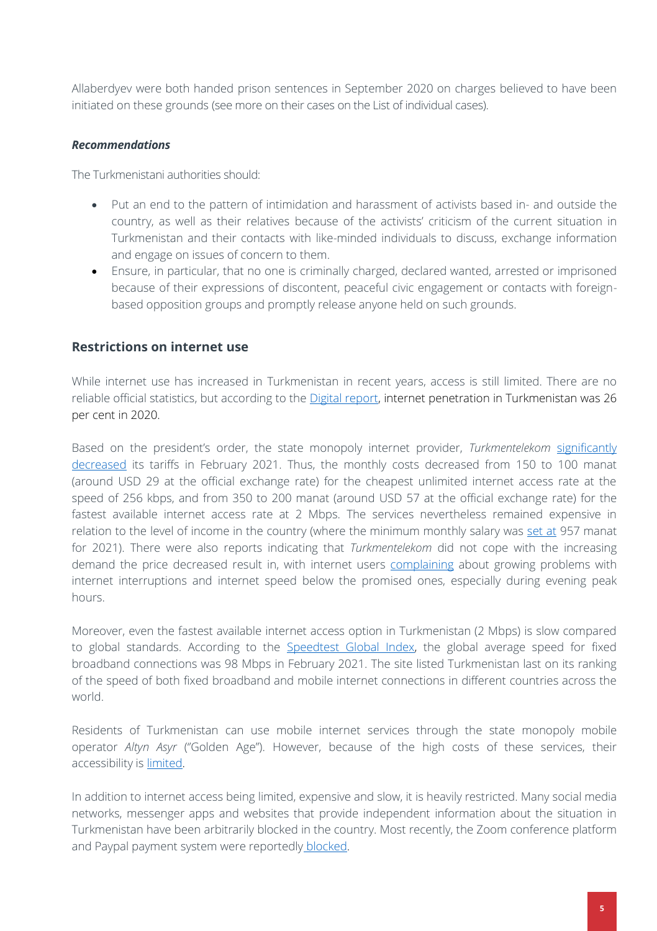Allaberdyev were both handed prison sentences in September 2020 on charges believed to have been initiated on these grounds (see more on their cases on the List of individual cases).

### *Recommendations*

The Turkmenistani authorities should:

- Put an end to the pattern of intimidation and harassment of activists based in- and outside the country, as well as their relatives because of the activists' criticism of the current situation in Turkmenistan and their contacts with like-minded individuals to discuss, exchange information and engage on issues of concern to them.
- Ensure, in particular, that no one is criminally charged, declared wanted, arrested or imprisoned because of their expressions of discontent, peaceful civic engagement or contacts with foreignbased opposition groups and promptly release anyone held on such grounds.

### **Restrictions on internet use**

While internet use has increased in Turkmenistan in recent years, access is still limited. There are no reliable official statistics, but according to the **Digital report**, internet penetration in Turkmenistan was 26 per cent in 2020.

Based on the president's order, the state monopoly internet provider, *Turkmentelekom* [significantly](https://www.hronikatm.com/2021/02/internet-tm/)  [decreased](https://www.hronikatm.com/2021/02/internet-tm/) its tariffs in February 2021. Thus, the monthly costs decreased from 150 to 100 manat (around USD 29 at the official exchange rate) for the cheapest unlimited internet access rate at the speed of 256 kbps, and from 350 to 200 manat (around USD 57 at the official exchange rate) for the fastest available internet access rate at 2 Mbps. The services nevertheless remained expensive in relation to the level of income in the country (where the minimum monthly salary was [set at](https://turkmenportal.com/blog/31110/v-turkmenistane-s-1-yanvarya-2021-goda-povysyat-zarabotnuyu-platu-pensii-gosudarstvennye-posobiya-i-stipendii) 957 manat for 2021). There were also reports indicating that *Turkmentelekom* did not cope with the increasing demand the price decreased result in, with internet users [complaining](https://www.hronikatm.com/2021/02/internet-tm/) about growing problems with internet interruptions and internet speed below the promised ones, especially during evening peak hours.

Moreover, even the fastest available internet access option in Turkmenistan (2 Mbps) is slow compared to global standards. According to the [Speedtest Global Index,](https://www.speedtest.net/global-index) the global average speed for fixed broadband connections was 98 Mbps in February 2021. The site listed Turkmenistan last on its ranking of the speed of both fixed broadband and mobile internet connections in different countries across the world.

Residents of Turkmenistan can use mobile internet services through the state monopoly mobile operator *Altyn Asyr* (''Golden Age"). However, because of the high costs of these services, their accessibility is [limited.](https://www.hronikatm.com/2021/02/internet-tm/)

In addition to internet access being limited, expensive and slow, it is heavily restricted. Many social media networks, messenger apps and websites that provide independent information about the situation in Turkmenistan have been arbitrarily blocked in the country. Most recently, the Zoom conference platform and Paypal payment system were reportedly [blocked.](https://turkmen.news/news/v-turkmenistane-aktivizirovali-blokirovku-vpn-zablokirovan-zoom-i-paypal/)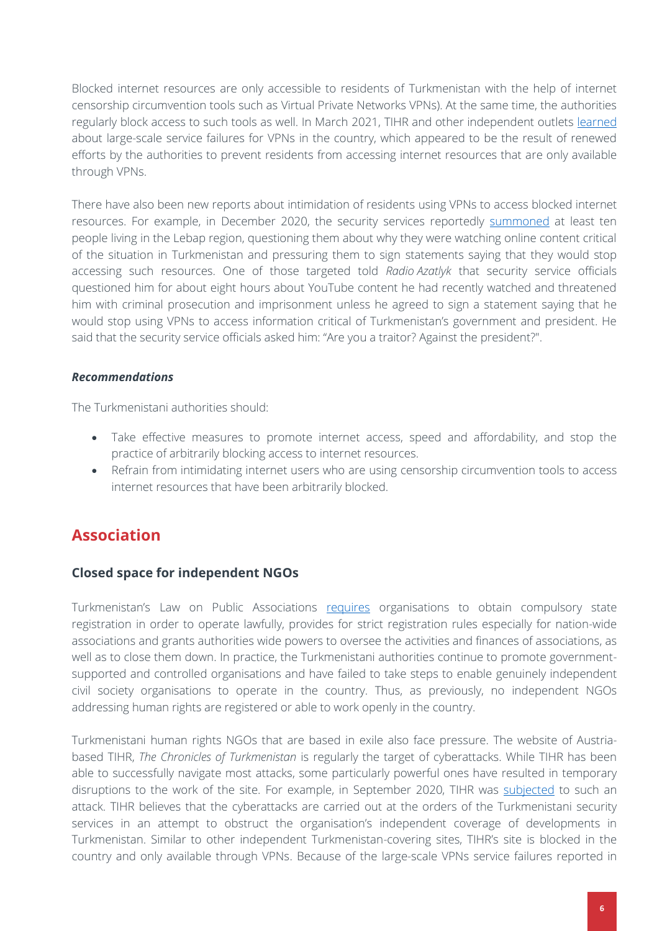Blocked internet resources are only accessible to residents of Turkmenistan with the help of internet censorship circumvention tools such as Virtual Private Networks VPNs). At the same time, the authorities regularly block access to such tools as well. In March 2021, TIHR and other independent outlets [learned](https://www.hronikatm.com/2021/03/vpn-inaccessible/) about large-scale service failures for VPNs in the country, which appeared to be the result of renewed efforts by the authorities to prevent residents from accessing internet resources that are only available through VPNs.

There have also been new reports about intimidation of residents using VPNs to access blocked internet resources. For example, in December 2020, the security services reportedly [summoned](https://rus.azathabar.com/a/30999952.html) at least ten people living in the Lebap region, questioning them about why they were watching online content critical of the situation in Turkmenistan and pressuring them to sign statements saying that they would stop accessing such resources. One of those targeted told *Radio Azatlyk* that security service officials questioned him for about eight hours about YouTube content he had recently watched and threatened him with criminal prosecution and imprisonment unless he agreed to sign a statement saying that he would stop using VPNs to access information critical of Turkmenistan's government and president. He said that the security service officials asked him: "Are you a traitor? Against the president?".

### *Recommendations*

The Turkmenistani authorities should:

- Take effective measures to promote internet access, speed and affordability, and stop the practice of arbitrarily blocking access to internet resources.
- Refrain from intimidating internet users who are using censorship circumvention tools to access internet resources that have been arbitrarily blocked.

### **Association**

### **Closed space for independent NGOs**

Turkmenistan's Law on Public Associations [requires](https://iphronline.org/wp-content/uploads/2017/03/TIHR-and-IPHR-report-for-March-2017-HRC-review-of-Turkmenistan.pdf) organisations to obtain compulsory state registration in order to operate lawfully, provides for strict registration rules especially for nation-wide associations and grants authorities wide powers to oversee the activities and finances of associations, as well as to close them down. In practice, the Turkmenistani authorities continue to promote governmentsupported and controlled organisations and have failed to take steps to enable genuinely independent civil society organisations to operate in the country. Thus, as previously, no independent NGOs addressing human rights are registered or able to work openly in the country.

Turkmenistani human rights NGOs that are based in exile also face pressure. The website of Austriabased TIHR, *The Chronicles of Turkmenistan* is regularly the target of cyberattacks. While TIHR has been able to successfully navigate most attacks, some particularly powerful ones have resulted in temporary disruptions to the work of the site. For example, in September 2020, TIHR was [subjected](https://www.hronikatm.com/2020/09/ddos/) to such an attack. TIHR believes that the cyberattacks are carried out at the orders of the Turkmenistani security services in an attempt to obstruct the organisation's independent coverage of developments in Turkmenistan. Similar to other independent Turkmenistan-covering sites, TIHR's site is blocked in the country and only available through VPNs. Because of the large-scale VPNs service failures reported in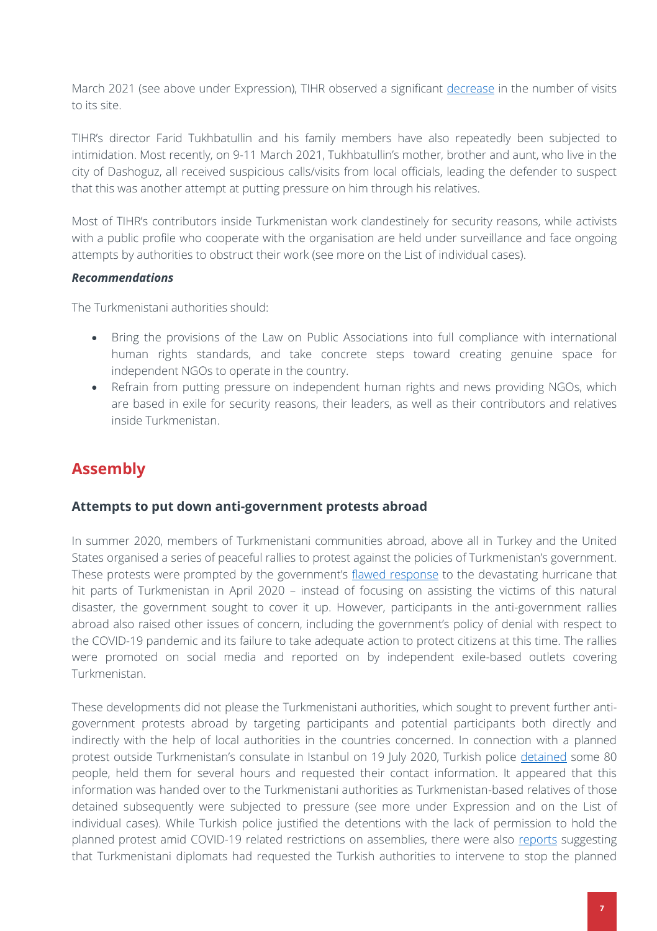March 2021 (see above under Expression), TIHR observed a significant [decrease](https://www.hronikatm.com/2021/03/ct-newsletter/) in the number of visits to its site.

TIHR's director Farid Tukhbatullin and his family members have also repeatedly been subjected to intimidation. Most recently, on 9-11 March 2021, Tukhbatullin's mother, brother and aunt, who live in the city of Dashoguz, all received suspicious calls/visits from local officials, leading the defender to suspect that this was another attempt at putting pressure on him through his relatives.

Most of TIHR's contributors inside Turkmenistan work clandestinely for security reasons, while activists with a public profile who cooperate with the organisation are held under surveillance and face ongoing attempts by authorities to obstruct their work (see more on the List of individual cases).

### *Recommendations*

The Turkmenistani authorities should:

- Bring the provisions of the Law on Public Associations into full compliance with international human rights standards, and take concrete steps toward creating genuine space for independent NGOs to operate in the country.
- Refrain from putting pressure on independent human rights and news providing NGOs, which are based in exile for security reasons, their leaders, as well as their contributors and relatives inside Turkmenistan.

# **Assembly**

### **Attempts to put down anti-government protests abroad**

In summer 2020, members of Turkmenistani communities abroad, above all in Turkey and the United States organised a series of peaceful rallies to protest against the policies of Turkmenistan's government. These protests were prompted by the government's [flawed response](https://www.iphronline.org/turkmenistan-government-responds-to-covid-19-and-hurricane-with-denial-cover-ups-and-intimidation-tactics.html) to the devastating hurricane that hit parts of Turkmenistan in April 2020 – instead of focusing on assisting the victims of this natural disaster, the government sought to cover it up. However, participants in the anti-government rallies abroad also raised other issues of concern, including the government's policy of denial with respect to the COVID-19 pandemic and its failure to take adequate action to protect citizens at this time. The rallies were promoted on social media and reported on by independent exile-based outlets covering Turkmenistan.

These developments did not please the Turkmenistani authorities, which sought to prevent further antigovernment protests abroad by targeting participants and potential participants both directly and indirectly with the help of local authorities in the countries concerned. In connection with a planned protest outside Turkmenistan's consulate in Istanbul on 19 July 2020, Turkish police [detained](https://www.hronikatm.com/2020/08/interview/) some 80 people, held them for several hours and requested their contact information. It appeared that this information was handed over to the Turkmenistani authorities as Turkmenistan-based relatives of those detained subsequently were subjected to pressure (see more under Expression and on the List of individual cases). While Turkish police justified the detentions with the lack of permission to hold the planned protest amid COVID-19 related restrictions on assemblies, there were also [reports](https://www.hronikatm.com/2020/08/dursoltan/) suggesting that Turkmenistani diplomats had requested the Turkish authorities to intervene to stop the planned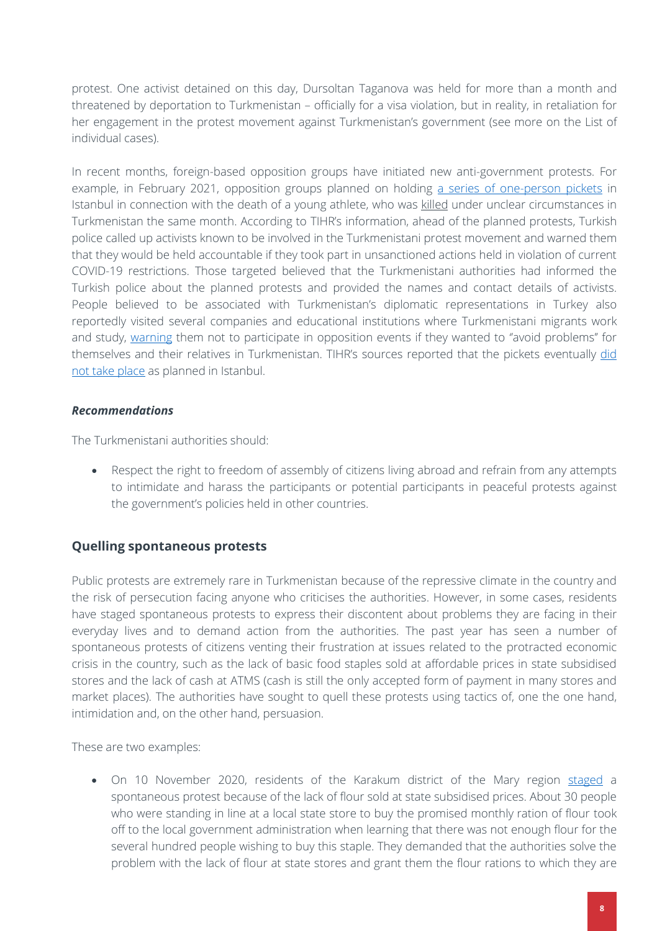protest. One activist detained on this day, Dursoltan Taganova was held for more than a month and threatened by deportation to Turkmenistan – officially for a visa violation, but in reality, in retaliation for her engagement in the protest movement against Turkmenistan's government (see more on the List of individual cases).

In recent months, foreign-based opposition groups have initiated new anti-government protests. For example, in February 2021, opposition groups planned on holding [a series of one-person pickets](https://www.hronikatm.com/2021/02/suleyman-protests/) in Istanbul in connection with the death of a young athlete, who was [killed](https://www.hronikatm.com/2021/02/smert-sulejmana-tursunbaeva-novye-versii-proizoshedshego-i-nesostoyavshiesya-pikety/) under unclear circumstances in Turkmenistan the same month. According to TIHR's information, ahead of the planned protests, Turkish police called up activists known to be involved in the Turkmenistani protest movement and warned them that they would be held accountable if they took part in unsanctioned actions held in violation of current COVID-19 restrictions. Those targeted believed that the Turkmenistani authorities had informed the Turkish police about the planned protests and provided the names and contact details of activists. People believed to be associated with Turkmenistan's diplomatic representations in Turkey also reportedly visited several companies and educational institutions where Turkmenistani migrants work and study, [warning](https://www.hronikatm.com/2021/02/istanbul-pickets/) them not to participate in opposition events if they wanted to "avoid problems" for themselves and their relatives in Turkmenistan. TIHR's sources reported that the pickets eventually did [not take place](https://www.hronikatm.com/2021/02/smert-sulejmana-tursunbaeva-novye-versii-proizoshedshego-i-nesostoyavshiesya-pikety/) as planned in Istanbul.

### *Recommendations*

The Turkmenistani authorities should:

• Respect the right to freedom of assembly of citizens living abroad and refrain from any attempts to intimidate and harass the participants or potential participants in peaceful protests against the government's policies held in other countries.

### **Quelling spontaneous protests**

Public protests are extremely rare in Turkmenistan because of the repressive climate in the country and the risk of persecution facing anyone who criticises the authorities. However, in some cases, residents have staged spontaneous protests to express their discontent about problems they are facing in their everyday lives and to demand action from the authorities. The past year has seen a number of spontaneous protests of citizens venting their frustration at issues related to the protracted economic crisis in the country, such as the lack of basic food staples sold at affordable prices in state subsidised stores and the lack of cash at ATMS (cash is still the only accepted form of payment in many stores and market places). The authorities have sought to quell these protests using tactics of, one the one hand, intimidation and, on the other hand, persuasion.

These are two examples:

• On 10 November 2020, residents of the Karakum district of the Mary region [staged](https://rus.azathabar.com/a/30940827.html) a spontaneous protest because of the lack of flour sold at state subsidised prices. About 30 people who were standing in line at a local state store to buy the promised monthly ration of flour took off to the local government administration when learning that there was not enough flour for the several hundred people wishing to buy this staple. They demanded that the authorities solve the problem with the lack of flour at state stores and grant them the flour rations to which they are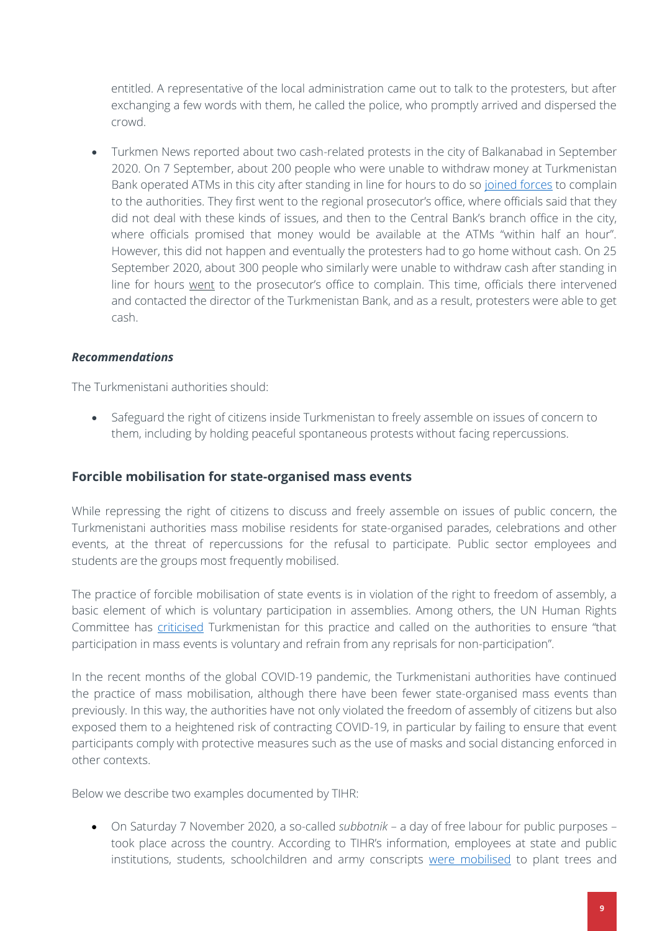entitled. A representative of the local administration came out to talk to the protesters, but after exchanging a few words with them, he called the police, who promptly arrived and dispersed the crowd.

• Turkmen News reported about two cash-related protests in the city of Balkanabad in September 2020. On 7 September, about 200 people who were unable to withdraw money at Turkmenistan Bank operated ATMs in this city after standing in line for hours to do so [joined forces](https://turkmen.news/news/balkanabad-200-chelovek-prishli-v-prokuraturu-i-tsb-zhalovatsya-na-rabotu-bankomatov/) to complain to the authorities. They first went to the regional prosecutor's office, where officials said that they did not deal with these kinds of issues, and then to the Central Bank's branch office in the city, where officials promised that money would be available at the ATMs "within half an hour". However, this did not happen and eventually the protesters had to go home without cash. On 25 September 2020, about 300 people who similarly were unable to withdraw cash after standing in line for hours [went](https://turkmen.news/news/300-zhitelej-balkanabada-prishli-v-prokuraturu-i-dobilis-vydachi-deneg-v-bankomatah/) to the prosecutor's office to complain. This time, officials there intervened and contacted the director of the Turkmenistan Bank, and as a result, protesters were able to get cash.

### *Recommendations*

The Turkmenistani authorities should:

• Safeguard the right of citizens inside Turkmenistan to freely assemble on issues of concern to them, including by holding peaceful spontaneous protests without facing repercussions.

### **Forcible mobilisation for state-organised mass events**

While repressing the right of citizens to discuss and freely assemble on issues of public concern, the Turkmenistani authorities mass mobilise residents for state-organised parades, celebrations and other events, at the threat of repercussions for the refusal to participate. Public sector employees and students are the groups most frequently mobilised.

The practice of forcible mobilisation of state events is in violation of the right to freedom of assembly, a basic element of which is voluntary participation in assemblies. Among others, the UN Human Rights Committee has [criticised](http://tbinternet.ohchr.org/_layouts/treatybodyexternal/Download.aspx?symbolno=CCPR%2fC%2fTKM%2fCO%2f2&Lang=en) Turkmenistan for this practice and called on the authorities to ensure "that participation in mass events is voluntary and refrain from any reprisals for non-participation".

In the recent months of the global COVID-19 pandemic, the Turkmenistani authorities have continued the practice of mass mobilisation, although there have been fewer state-organised mass events than previously. In this way, the authorities have not only violated the freedom of assembly of citizens but also exposed them to a heightened risk of contracting COVID-19, in particular by failing to ensure that event participants comply with protective measures such as the use of masks and social distancing enforced in other contexts.

Below we describe two examples documented by TIHR:

• On Saturday 7 November 2020, a so-called *subbotnik* – a day of free labour for public purposes – took place across the country. According to TIHR's information, employees at state and public institutions, students, schoolchildren and army conscripts [were mobilised](https://www.hronikatm.com/2020/11/subbotnik-3/) to plant trees and